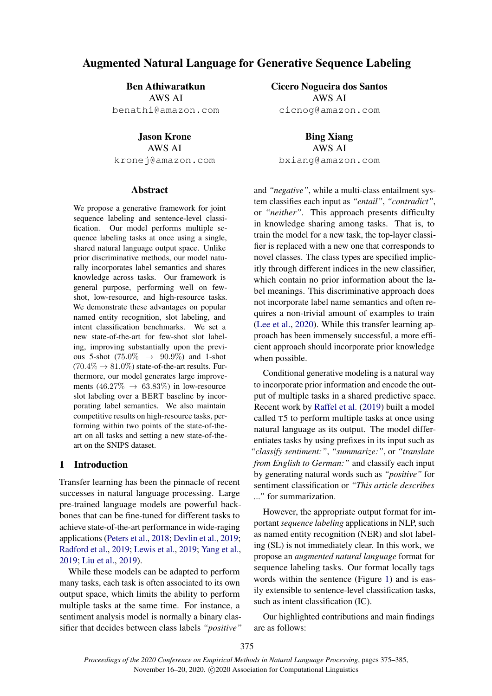# Augmented Natural Language for Generative Sequence Labeling

Ben Athiwaratkun AWS AI benathi@amazon.com

Jason Krone AWS AI kronej@amazon.com

### Abstract

We propose a generative framework for joint sequence labeling and sentence-level classification. Our model performs multiple sequence labeling tasks at once using a single, shared natural language output space. Unlike prior discriminative methods, our model naturally incorporates label semantics and shares knowledge across tasks. Our framework is general purpose, performing well on fewshot, low-resource, and high-resource tasks. We demonstrate these advantages on popular named entity recognition, slot labeling, and intent classification benchmarks. We set a new state-of-the-art for few-shot slot labeling, improving substantially upon the previous 5-shot (75.0%  $\rightarrow$  90.9%) and 1-shot  $(70.4\% \rightarrow 81.0\%)$  state-of-the-art results. Furthermore, our model generates large improvements  $(46.27\% \rightarrow 63.83\%)$  in low-resource slot labeling over a BERT baseline by incorporating label semantics. We also maintain competitive results on high-resource tasks, performing within two points of the state-of-theart on all tasks and setting a new state-of-theart on the SNIPS dataset.

## 1 Introduction

Transfer learning has been the pinnacle of recent successes in natural language processing. Large pre-trained language models are powerful backbones that can be fine-tuned for different tasks to achieve state-of-the-art performance in wide-raging applications (Peters et al., 2018; Devlin et al., 2019; Radford et al., 2019; Lewis et al., 2019; Yang et al., 2019; Liu et al., 2019).

While these models can be adapted to perform many tasks, each task is often associated to its own output space, which limits the ability to perform multiple tasks at the same time. For instance, a sentiment analysis model is normally a binary classifier that decides between class labels *"positive"* Cicero Nogueira dos Santos AWS AI cicnog@amazon.com

Bing Xiang AWS AI bxiang@amazon.com

and *"negative"*, while a multi-class entailment system classifies each input as *"entail"*, *"contradict"*, or *"neither"*. This approach presents difficulty in knowledge sharing among tasks. That is, to train the model for a new task, the top-layer classifier is replaced with a new one that corresponds to novel classes. The class types are specified implicitly through different indices in the new classifier, which contain no prior information about the label meanings. This discriminative approach does not incorporate label name semantics and often requires a non-trivial amount of examples to train (Lee et al., 2020). While this transfer learning approach has been immensely successful, a more efficient approach should incorporate prior knowledge when possible.

Conditional generative modeling is a natural way to incorporate prior information and encode the output of multiple tasks in a shared predictive space. Recent work by Raffel et al. (2019) built a model called T5 to perform multiple tasks at once using natural language as its output. The model differentiates tasks by using prefixes in its input such as *"classify sentiment:"*, *"summarize:"*, or *"translate from English to German:"* and classify each input by generating natural words such as *"positive"* for sentiment classification or *"This article describes ..."* for summarization.

However, the appropriate output format for important *sequence labeling* applications in NLP, such as named entity recognition (NER) and slot labeling (SL) is not immediately clear. In this work, we propose an *augmented natural language* format for sequence labeling tasks. Our format locally tags words within the sentence (Figure 1) and is easily extensible to sentence-level classification tasks, such as intent classification (IC).

Our highlighted contributions and main findings are as follows: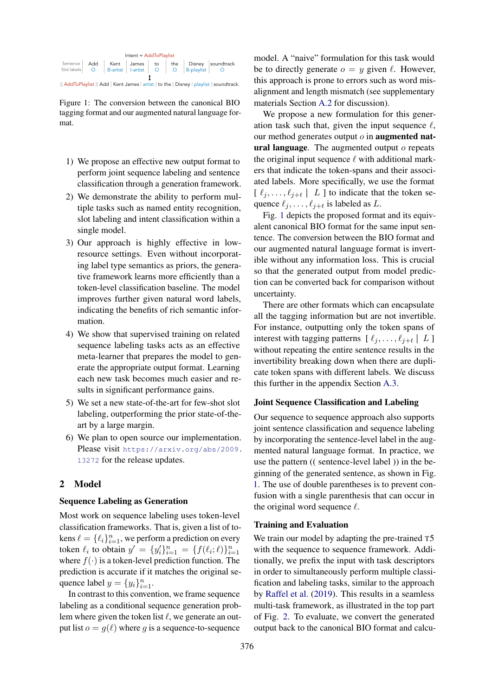| $Internet = AddToPlaylist$ |     |  |                         |  |  |                |                                                                                     |  |  |
|----------------------------|-----|--|-------------------------|--|--|----------------|-------------------------------------------------------------------------------------|--|--|
| Sentence<br>Slot labels    | - O |  | B-artist   I-artist   O |  |  | O   B-playlist | Add Kent James to the Disney soundtrack                                             |  |  |
|                            |     |  |                         |  |  |                | ((AddToPlaylist)) Add [Kent James   artist ] to the [Disney   playlist ] soundtrack |  |  |

Figure 1: The conversion between the canonical BIO tagging format and our augmented natural language format.

- 1) We propose an effective new output format to perform joint sequence labeling and sentence classification through a generation framework.
- 2) We demonstrate the ability to perform multiple tasks such as named entity recognition, slot labeling and intent classification within a single model.
- 3) Our approach is highly effective in lowresource settings. Even without incorporating label type semantics as priors, the generative framework learns more efficiently than a token-level classification baseline. The model improves further given natural word labels, indicating the benefits of rich semantic information.
- 4) We show that supervised training on related sequence labeling tasks acts as an effective meta-learner that prepares the model to generate the appropriate output format. Learning each new task becomes much easier and results in significant performance gains.
- 5) We set a new state-of-the-art for few-shot slot labeling, outperforming the prior state-of-theart by a large margin.
- 6) We plan to open source our implementation. Please visit https://arxiv.org/abs/2009. 13272 for the release updates.

## 2 Model

### Sequence Labeling as Generation

Most work on sequence labeling uses token-level classification frameworks. That is, given a list of tokens  $\ell = {\ell_i}_{i=1}^n$ , we perform a prediction on every token  $\ell_i$  to obtain  $y' = \{y'_i\}_{i=1}^n = \{f(\ell_i; \ell)\}_{i=1}^n$ where  $f(\cdot)$  is a token-level prediction function. The prediction is accurate if it matches the original sequence label  $y = \{y_i\}_{i=1}^n$ .

In contrast to this convention, we frame sequence labeling as a conditional sequence generation problem where given the token list  $\ell$ , we generate an output list  $o = g(\ell)$  where *g* is a sequence-to-sequence

model. A "naive" formulation for this task would be to directly generate  $o = y$  given  $\ell$ . However, this approach is prone to errors such as word misalignment and length mismatch (see supplementary materials Section A.2 for discussion).

We propose a new formulation for this generation task such that, given the input sequence  $\ell$ , our method generates output *o* in augmented natural language. The augmented output *o* repeats the original input sequence  $\ell$  with additional markers that indicate the token-spans and their associated labels. More specifically, we use the format  $[\ell_i, \ldots, \ell_{i+t}]$  *L* ] to indicate that the token sequence  $\ell_j, \ldots, \ell_{j+t}$  is labeled as *L*.

Fig. 1 depicts the proposed format and its equivalent canonical BIO format for the same input sentence. The conversion between the BIO format and our augmented natural language format is invertible without any information loss. This is crucial so that the generated output from model prediction can be converted back for comparison without uncertainty.

There are other formats which can encapsulate all the tagging information but are not invertible. For instance, outputting only the token spans of interest with tagging patterns  $[\ell_i, \ldots, \ell_{i+t} | L]$ without repeating the entire sentence results in the invertibility breaking down when there are duplicate token spans with different labels. We discuss this further in the appendix Section A.3.

### Joint Sequence Classification and Labeling

Our sequence to sequence approach also supports joint sentence classification and sequence labeling by incorporating the sentence-level label in the augmented natural language format. In practice, we use the pattern (( sentence-level label )) in the beginning of the generated sentence, as shown in Fig. 1. The use of double parentheses is to prevent confusion with a single parenthesis that can occur in the original word sequence  $\ell$ .

### Training and Evaluation

We train our model by adapting the pre-trained  $T5$ with the sequence to sequence framework. Additionally, we prefix the input with task descriptors in order to simultaneously perform multiple classification and labeling tasks, similar to the approach by Raffel et al. (2019). This results in a seamless multi-task framework, as illustrated in the top part of Fig. 2. To evaluate, we convert the generated output back to the canonical BIO format and calcu-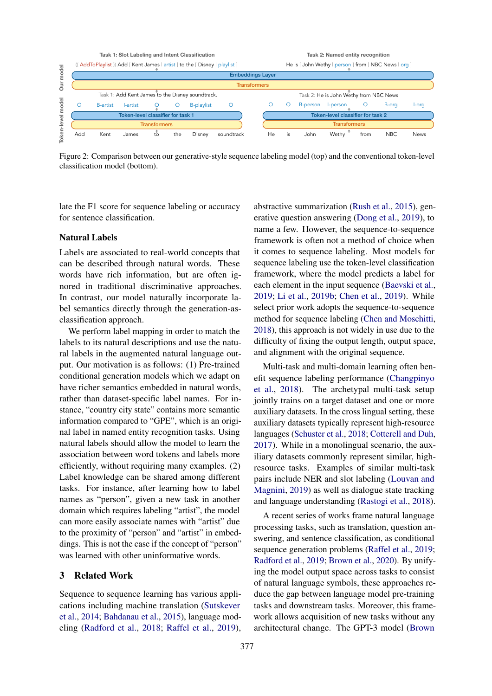

Figure 2: Comparison between our generative-style sequence labeling model (top) and the conventional token-level classification model (bottom).

late the F1 score for sequence labeling or accuracy for sentence classification.

### Natural Labels

Labels are associated to real-world concepts that can be described through natural words. These words have rich information, but are often ignored in traditional discriminative approaches. In contrast, our model naturally incorporate label semantics directly through the generation-asclassification approach.

We perform label mapping in order to match the labels to its natural descriptions and use the natural labels in the augmented natural language output. Our motivation is as follows: (1) Pre-trained conditional generation models which we adapt on have richer semantics embedded in natural words, rather than dataset-specific label names. For instance, "country city state" contains more semantic information compared to "GPE", which is an original label in named entity recognition tasks. Using natural labels should allow the model to learn the association between word tokens and labels more efficiently, without requiring many examples. (2) Label knowledge can be shared among different tasks. For instance, after learning how to label names as "person", given a new task in another domain which requires labeling "artist", the model can more easily associate names with "artist" due to the proximity of "person" and "artist" in embeddings. This is not the case if the concept of "person" was learned with other uninformative words.

## 3 Related Work

Sequence to sequence learning has various applications including machine translation (Sutskever et al., 2014; Bahdanau et al., 2015), language modeling (Radford et al., 2018; Raffel et al., 2019),

abstractive summarization (Rush et al., 2015), generative question answering (Dong et al., 2019), to name a few. However, the sequence-to-sequence framework is often not a method of choice when it comes to sequence labeling. Most models for sequence labeling use the token-level classification framework, where the model predicts a label for each element in the input sequence (Baevski et al., 2019; Li et al., 2019b; Chen et al., 2019). While select prior work adopts the sequence-to-sequence method for sequence labeling (Chen and Moschitti, 2018), this approach is not widely in use due to the difficulty of fixing the output length, output space, and alignment with the original sequence.

Multi-task and multi-domain learning often benefit sequence labeling performance (Changpinyo et al., 2018). The archetypal multi-task setup jointly trains on a target dataset and one or more auxiliary datasets. In the cross lingual setting, these auxiliary datasets typically represent high-resource languages (Schuster et al., 2018; Cotterell and Duh, 2017). While in a monolingual scenario, the auxiliary datasets commonly represent similar, highresource tasks. Examples of similar multi-task pairs include NER and slot labeling (Louvan and Magnini, 2019) as well as dialogue state tracking and language understanding (Rastogi et al., 2018).

A recent series of works frame natural language processing tasks, such as translation, question answering, and sentence classification, as conditional sequence generation problems (Raffel et al., 2019; Radford et al., 2019; Brown et al., 2020). By unifying the model output space across tasks to consist of natural language symbols, these approaches reduce the gap between language model pre-training tasks and downstream tasks. Moreover, this framework allows acquisition of new tasks without any architectural change. The GPT-3 model (Brown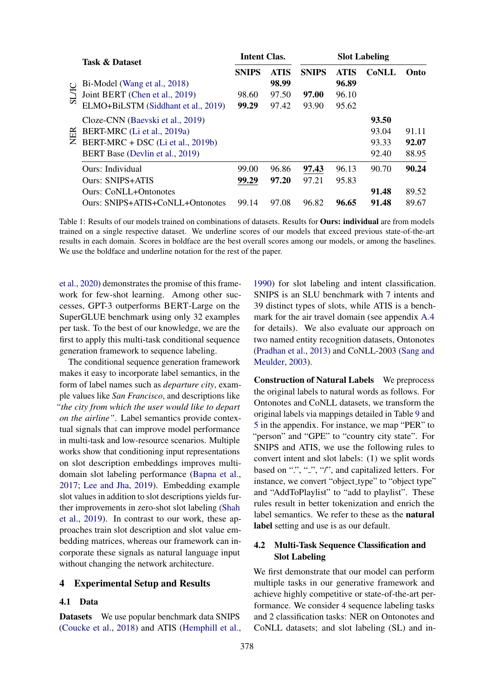|              | <b>Task &amp; Dataset</b>           | <b>Intent Clas.</b> |             | <b>Slot Labeling</b> |             |              |       |  |
|--------------|-------------------------------------|---------------------|-------------|----------------------|-------------|--------------|-------|--|
|              |                                     | <b>SNIPS</b>        | <b>ATIS</b> | <b>SNIPS</b>         | <b>ATIS</b> | <b>CoNLL</b> | Onto  |  |
|              | Bi-Model (Wang et al., 2018)        |                     | 98.99       |                      | 96.89       |              |       |  |
| <b>SL/IC</b> | Joint BERT (Chen et al., 2019)      | 98.60               | 97.50       | 97.00                | 96.10       |              |       |  |
|              | ELMO+BiLSTM (Siddhant et al., 2019) | 99.29               | 97.42       | 93.90                | 95.62       |              |       |  |
| <b>NER</b>   | Cloze-CNN (Baevski et al., 2019)    |                     |             |                      |             | 93.50        |       |  |
|              | BERT-MRC (Li et al., 2019a)         |                     |             |                      |             | 93.04        | 91.11 |  |
|              | BERT-MRC + DSC (Li et al., 2019b)   |                     |             |                      |             | 93.33        | 92.07 |  |
|              | BERT Base (Devlin et al., 2019)     |                     |             |                      |             | 92.40        | 88.95 |  |
|              | Ours: Individual                    | 99.00               | 96.86       | 97.43                | 96.13       | 90.70        | 90.24 |  |
|              | <b>Ours: SNIPS+ATIS</b>             | 99.29               | 97.20       | 97.21                | 95.83       |              |       |  |
|              | <b>Ours: CoNLL+Ontonotes</b>        |                     |             |                      |             | 91.48        | 89.52 |  |
|              | Ours: SNIPS+ATIS+CoNLL+Ontonotes    | 99.14               | 97.08       | 96.82                | 96.65       | 91.48        | 89.67 |  |

Table 1: Results of our models trained on combinations of datasets. Results for Ours: individual are from models trained on a single respective dataset. We underline scores of our models that exceed previous state-of-the-art results in each domain. Scores in boldface are the best overall scores among our models, or among the baselines. We use the boldface and underline notation for the rest of the paper.

et al., 2020) demonstrates the promise of this framework for few-shot learning. Among other successes, GPT-3 outperforms BERT-Large on the SuperGLUE benchmark using only 32 examples per task. To the best of our knowledge, we are the first to apply this multi-task conditional sequence generation framework to sequence labeling.

The conditional sequence generation framework makes it easy to incorporate label semantics, in the form of label names such as *departure city*, example values like *San Francisco*, and descriptions like *"the city from which the user would like to depart on the airline"*. Label semantics provide contextual signals that can improve model performance in multi-task and low-resource scenarios. Multiple works show that conditioning input representations on slot description embeddings improves multidomain slot labeling performance (Bapna et al., 2017; Lee and Jha, 2019). Embedding example slot values in addition to slot descriptions yields further improvements in zero-shot slot labeling (Shah et al., 2019). In contrast to our work, these approaches train slot description and slot value embedding matrices, whereas our framework can incorporate these signals as natural language input without changing the network architecture.

### 4 Experimental Setup and Results

#### 4.1 Data

Datasets We use popular benchmark data SNIPS (Coucke et al., 2018) and ATIS (Hemphill et al.,

1990) for slot labeling and intent classification. SNIPS is an SLU benchmark with 7 intents and 39 distinct types of slots, while ATIS is a benchmark for the air travel domain (see appendix A.4 for details). We also evaluate our approach on two named entity recognition datasets, Ontonotes (Pradhan et al., 2013) and CoNLL-2003 (Sang and Meulder, 2003).

Construction of Natural Labels We preprocess the original labels to natural words as follows. For Ontonotes and CoNLL datasets, we transform the original labels via mappings detailed in Table 9 and 5 in the appendix. For instance, we map "PER" to "person" and "GPE" to "country city state". For SNIPS and ATIS, we use the following rules to convert intent and slot labels: (1) we split words based on " $\cdot$ ", " $\cdot$ ", "/", and capitalized letters. For instance, we convert "object\_type" to "object type" and "AddToPlaylist" to "add to playlist". These rules result in better tokenization and enrich the label semantics. We refer to these as the natural label setting and use is as our default.

## 4.2 Multi-Task Sequence Classification and Slot Labeling

We first demonstrate that our model can perform multiple tasks in our generative framework and achieve highly competitive or state-of-the-art performance. We consider 4 sequence labeling tasks and 2 classification tasks: NER on Ontonotes and CoNLL datasets; and slot labeling (SL) and in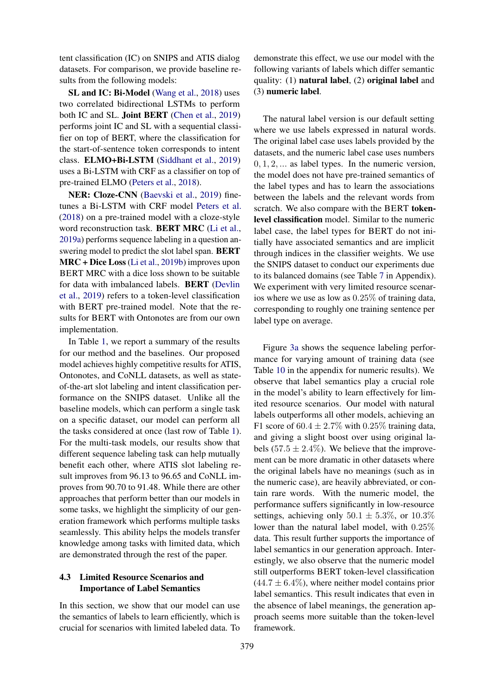tent classification (IC) on SNIPS and ATIS dialog datasets. For comparison, we provide baseline results from the following models:

SL and IC: Bi-Model (Wang et al., 2018) uses two correlated bidirectional LSTMs to perform both IC and SL. Joint BERT (Chen et al., 2019) performs joint IC and SL with a sequential classifier on top of BERT, where the classification for the start-of-sentence token corresponds to intent class. ELMO+Bi-LSTM (Siddhant et al., 2019) uses a Bi-LSTM with CRF as a classifier on top of pre-trained ELMO (Peters et al., 2018).

NER: Cloze-CNN (Baevski et al., 2019) finetunes a Bi-LSTM with CRF model Peters et al. (2018) on a pre-trained model with a cloze-style word reconstruction task. BERT MRC (Li et al., 2019a) performs sequence labeling in a question answering model to predict the slot label span. BERT MRC + Dice Loss (Li et al., 2019b) improves upon BERT MRC with a dice loss shown to be suitable for data with imbalanced labels. BERT (Devlin et al., 2019) refers to a token-level classification with BERT pre-trained model. Note that the results for BERT with Ontonotes are from our own implementation.

In Table 1, we report a summary of the results for our method and the baselines. Our proposed model achieves highly competitive results for ATIS, Ontonotes, and CoNLL datasets, as well as stateof-the-art slot labeling and intent classification performance on the SNIPS dataset. Unlike all the baseline models, which can perform a single task on a specific dataset, our model can perform all the tasks considered at once (last row of Table 1). For the multi-task models, our results show that different sequence labeling task can help mutually benefit each other, where ATIS slot labeling result improves from 96.13 to 96.65 and CoNLL improves from 90.70 to 91.48. While there are other approaches that perform better than our models in some tasks, we highlight the simplicity of our generation framework which performs multiple tasks seamlessly. This ability helps the models transfer knowledge among tasks with limited data, which are demonstrated through the rest of the paper.

## 4.3 Limited Resource Scenarios and Importance of Label Semantics

In this section, we show that our model can use the semantics of labels to learn efficiently, which is crucial for scenarios with limited labeled data. To

demonstrate this effect, we use our model with the following variants of labels which differ semantic quality: (1) natural label, (2) original label and (3) numeric label.

The natural label version is our default setting where we use labels expressed in natural words. The original label case uses labels provided by the datasets, and the numeric label case uses numbers 0*,* 1*,* 2*, ...* as label types. In the numeric version, the model does not have pre-trained semantics of the label types and has to learn the associations between the labels and the relevant words from scratch. We also compare with the BERT tokenlevel classification model. Similar to the numeric label case, the label types for BERT do not initially have associated semantics and are implicit through indices in the classifier weights. We use the SNIPS dataset to conduct our experiments due to its balanced domains (see Table 7 in Appendix). We experiment with very limited resource scenarios where we use as low as 0*.*25% of training data, corresponding to roughly one training sentence per label type on average.

Figure 3a shows the sequence labeling performance for varying amount of training data (see Table 10 in the appendix for numeric results). We observe that label semantics play a crucial role in the model's ability to learn effectively for limited resource scenarios. Our model with natural labels outperforms all other models, achieving an F1 score of  $60.4 \pm 2.7\%$  with 0.25% training data, and giving a slight boost over using original labels  $(57.5 \pm 2.4\%)$ . We believe that the improvement can be more dramatic in other datasets where the original labels have no meanings (such as in the numeric case), are heavily abbreviated, or contain rare words. With the numeric model, the performance suffers significantly in low-resource settings, achieving only  $50.1 \pm 5.3\%$ , or  $10.3\%$ lower than the natural label model, with 0*.*25% data. This result further supports the importance of label semantics in our generation approach. Interestingly, we also observe that the numeric model still outperforms BERT token-level classification  $(44.7 \pm 6.4\%)$ , where neither model contains prior label semantics. This result indicates that even in the absence of label meanings, the generation approach seems more suitable than the token-level framework.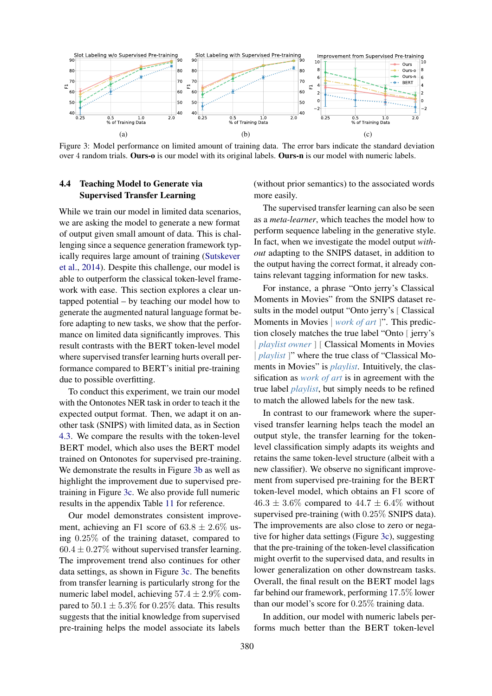

Figure 3: Model performance on limited amount of training data. The error bars indicate the standard deviation over 4 random trials. Ours-o is our model with its original labels. Ours-n is our model with numeric labels.

## 4.4 Teaching Model to Generate via Supervised Transfer Learning

While we train our model in limited data scenarios, we are asking the model to generate a new format of output given small amount of data. This is challenging since a sequence generation framework typically requires large amount of training (Sutskever et al., 2014). Despite this challenge, our model is able to outperform the classical token-level framework with ease. This section explores a clear untapped potential – by teaching our model how to generate the augmented natural language format before adapting to new tasks, we show that the performance on limited data significantly improves. This result contrasts with the BERT token-level model where supervised transfer learning hurts overall performance compared to BERT's initial pre-training due to possible overfitting.

To conduct this experiment, we train our model with the Ontonotes NER task in order to teach it the expected output format. Then, we adapt it on another task (SNIPS) with limited data, as in Section 4.3. We compare the results with the token-level BERT model, which also uses the BERT model trained on Ontonotes for supervised pre-training. We demonstrate the results in Figure 3b as well as highlight the improvement due to supervised pretraining in Figure 3c. We also provide full numeric results in the appendix Table 11 for reference.

Our model demonstrates consistent improvement, achieving an F1 score of  $63.8 \pm 2.6\%$  using 0*.*25% of the training dataset, compared to  $60.4 \pm 0.27\%$  without supervised transfer learning. The improvement trend also continues for other data settings, as shown in Figure 3c. The benefits from transfer learning is particularly strong for the numeric label model, achieving 57*.*4 *±* 2*.*9% compared to  $50.1 \pm 5.3\%$  for  $0.25\%$  data. This results suggests that the initial knowledge from supervised pre-training helps the model associate its labels

(without prior semantics) to the associated words more easily.

The supervised transfer learning can also be seen as a *meta-learner*, which teaches the model how to perform sequence labeling in the generative style. In fact, when we investigate the model output *without* adapting to the SNIPS dataset, in addition to the output having the correct format, it already contains relevant tagging information for new tasks.

For instance, a phrase "Onto jerry's Classical Moments in Movies" from the SNIPS dataset results in the model output "Onto jerry's [Classical Moments in Movies *work of art* ]". This prediction closely matches the true label "Onto [ jerry's í *playlist owner* ] [ Classical Moments in Movies *playlist* ]" where the true class of "Classical Moments in Movies" is *playlist*. Intuitively, the classification as *work of art* is in agreement with the true label *playlist*, but simply needs to be refined to match the allowed labels for the new task.

In contrast to our framework where the supervised transfer learning helps teach the model an output style, the transfer learning for the tokenlevel classification simply adapts its weights and retains the same token-level structure (albeit with a new classifier). We observe no significant improvement from supervised pre-training for the BERT token-level model, which obtains an F1 score of  $46.3 \pm 3.6\%$  compared to  $44.7 \pm 6.4\%$  without supervised pre-training (with 0*.*25% SNIPS data). The improvements are also close to zero or negative for higher data settings (Figure 3c), suggesting that the pre-training of the token-level classification might overfit to the supervised data, and results in lower generalization on other downstream tasks. Overall, the final result on the BERT model lags far behind our framework, performing 17*.*5% lower than our model's score for 0*.*25% training data.

In addition, our model with numeric labels performs much better than the BERT token-level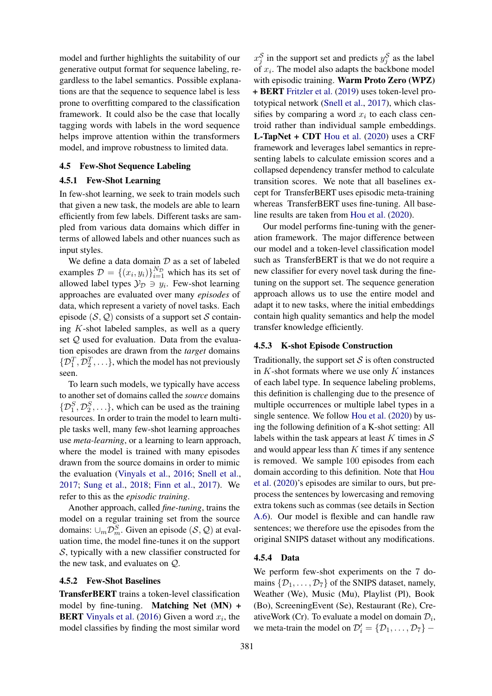model and further highlights the suitability of our generative output format for sequence labeling, regardless to the label semantics. Possible explanations are that the sequence to sequence label is less prone to overfitting compared to the classification framework. It could also be the case that locally tagging words with labels in the word sequence helps improve attention within the transformers model, and improve robustness to limited data.

### 4.5 Few-Shot Sequence Labeling

#### 4.5.1 Few-Shot Learning

In few-shot learning, we seek to train models such that given a new task, the models are able to learn efficiently from few labels. Different tasks are sampled from various data domains which differ in terms of allowed labels and other nuances such as input styles.

We define a data domain *D* as a set of labeled examples  $\mathcal{D} = \{(x_i, y_i)\}_{i=1}^{N_{\mathcal{D}}}$  which has its set of allowed label types  $\mathcal{Y}_D \ni y_i$ . Few-shot learning approaches are evaluated over many *episodes* of data, which represent a variety of novel tasks. Each episode  $(S, Q)$  consists of a support set *S* containing *K*-shot labeled samples, as well as a query set *Q* used for evaluation. Data from the evaluation episodes are drawn from the *target* domains  $\{\mathcal{D}_1^T, \mathcal{D}_2^T, \ldots\}$ , which the model has not previously seen.

To learn such models, we typically have access to another set of domains called the *source* domains  $\{D_1^S, D_2^S, \ldots\}$ , which can be used as the training resources. In order to train the model to learn multiple tasks well, many few-shot learning approaches use *meta-learning*, or a learning to learn approach, where the model is trained with many episodes drawn from the source domains in order to mimic the evaluation (Vinyals et al., 2016; Snell et al., 2017; Sung et al., 2018; Finn et al., 2017). We refer to this as the *episodic training*.

Another approach, called *fine-tuning*, trains the model on a regular training set from the source domains:  $\cup_m \mathcal{D}_m^S$ . Given an episode  $(S, \mathcal{Q})$  at evaluation time, the model fine-tunes it on the support *S*, typically with a new classifier constructed for the new task, and evaluates on *Q*.

### 4.5.2 Few-Shot Baselines

TransferBERT trains a token-level classification model by fine-tuning. Matching Net (MN) + BERT Vinyals et al. (2016) Given a word *xi*, the model classifies by finding the most similar word

 $x_j^S$  in the support set and predicts  $y_j^S$  as the label of *xi*. The model also adapts the backbone model with episodic training. Warm Proto Zero (WPZ) + BERT Fritzler et al. (2019) uses token-level prototypical network (Snell et al., 2017), which classifies by comparing a word  $x_i$  to each class centroid rather than individual sample embeddings. L-TapNet + CDT Hou et al. (2020) uses a CRF framework and leverages label semantics in representing labels to calculate emission scores and a collapsed dependency transfer method to calculate transition scores. We note that all baselines except for TransferBERT uses episodic meta-training whereas TransferBERT uses fine-tuning. All baseline results are taken from Hou et al. (2020).

Our model performs fine-tuning with the generation framework. The major difference between our model and a token-level classification model such as TransferBERT is that we do not require a new classifier for every novel task during the finetuning on the support set. The sequence generation approach allows us to use the entire model and adapt it to new tasks, where the initial embeddings contain high quality semantics and help the model transfer knowledge efficiently.

### 4.5.3 K-shot Episode Construction

Traditionally, the support set  $S$  is often constructed in *K*-shot formats where we use only *K* instances of each label type. In sequence labeling problems, this definition is challenging due to the presence of multiple occurrences or multiple label types in a single sentence. We follow Hou et al. (2020) by using the following definition of a K-shot setting: All labels within the task appears at least *K* times in *S* and would appear less than *K* times if any sentence is removed. We sample 100 episodes from each domain according to this definition. Note that Hou et al. (2020)'s episodes are similar to ours, but preprocess the sentences by lowercasing and removing extra tokens such as commas (see details in Section A.6). Our model is flexible and can handle raw sentences; we therefore use the episodes from the original SNIPS dataset without any modifications.

#### 4.5.4 Data

We perform few-shot experiments on the 7 domains  $\{\mathcal{D}_1,\ldots,\mathcal{D}_7\}$  of the SNIPS dataset, namely, Weather (We), Music (Mu), Playlist (Pl), Book (Bo), ScreeningEvent (Se), Restaurant (Re), CreativeWork (Cr). To evaluate a model on domain  $\mathcal{D}_i$ , we meta-train the model on  $\mathcal{D}'_i = {\mathcal{D}_1, \ldots, \mathcal{D}_7}$  –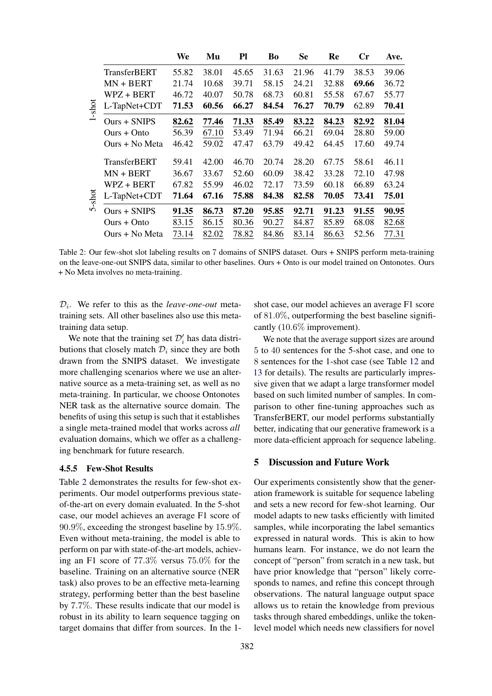|        |                     | We    | Mu    | P1    | Bo    | <b>Se</b> | Re    | $\mathbf{C}\mathbf{r}$ | Ave.  |
|--------|---------------------|-------|-------|-------|-------|-----------|-------|------------------------|-------|
|        | <b>TransferBERT</b> | 55.82 | 38.01 | 45.65 | 31.63 | 21.96     | 41.79 | 38.53                  | 39.06 |
| -shot  | $MN + BERT$         | 21.74 | 10.68 | 39.71 | 58.15 | 24.21     | 32.88 | 69.66                  | 36.72 |
|        | WPZ + BERT          | 46.72 | 40.07 | 50.78 | 68.73 | 60.81     | 55.58 | 67.67                  | 55.77 |
|        | L-TapNet+CDT        | 71.53 | 60.56 | 66.27 | 84.54 | 76.27     | 70.79 | 62.89                  | 70.41 |
|        | $Ours + SNIPS$      | 82.62 | 77.46 | 71.33 | 85.49 | 83.22     | 84.23 | 82.92                  | 81.04 |
|        | $Ours + Onto$       | 56.39 | 67.10 | 53.49 | 71.94 | 66.21     | 69.04 | 28.80                  | 59.00 |
|        | Ours + No Meta      | 46.42 | 59.02 | 47.47 | 63.79 | 49.42     | 64.45 | 17.60                  | 49.74 |
|        | <b>TransferBERT</b> | 59.41 | 42.00 | 46.70 | 20.74 | 28.20     | 67.75 | 58.61                  | 46.11 |
|        | $MN + BERT$         | 36.67 | 33.67 | 52.60 | 60.09 | 38.42     | 33.28 | 72.10                  | 47.98 |
| 5-shot | WPZ + BERT          | 67.82 | 55.99 | 46.02 | 72.17 | 73.59     | 60.18 | 66.89                  | 63.24 |
|        | L-TapNet+CDT        | 71.64 | 67.16 | 75.88 | 84.38 | 82.58     | 70.05 | 73.41                  | 75.01 |
|        | $Ours + SNIPS$      | 91.35 | 86.73 | 87.20 | 95.85 | 92.71     | 91.23 | 91.55                  | 90.95 |
|        | $Ours + Onto$       | 83.15 | 86.15 | 80.36 | 90.27 | 84.87     | 85.89 | 68.08                  | 82.68 |
|        | Ours + No Meta      | 73.14 | 82.02 | 78.82 | 84.86 | 83.14     | 86.63 | 52.56                  | 77.31 |

Table 2: Our few-shot slot labeling results on 7 domains of SNIPS dataset. Ours + SNIPS perform meta-training on the leave-one-out SNIPS data, similar to other baselines. Ours + Onto is our model trained on Ontonotes. Ours + No Meta involves no meta-training.

 $\mathcal{D}_i$ . We refer to this as the *leave-one-out* metatraining sets. All other baselines also use this metatraining data setup.

We note that the training set  $\mathcal{D}'_i$  has data distributions that closely match  $\mathcal{D}_i$  since they are both drawn from the SNIPS dataset. We investigate more challenging scenarios where we use an alternative source as a meta-training set, as well as no meta-training. In particular, we choose Ontonotes NER task as the alternative source domain. The benefits of using this setup is such that it establishes a single meta-trained model that works across *all* evaluation domains, which we offer as a challenging benchmark for future research.

### 4.5.5 Few-Shot Results

Table 2 demonstrates the results for few-shot experiments. Our model outperforms previous stateof-the-art on every domain evaluated. In the 5-shot case, our model achieves an average F1 score of 90*.*9%, exceeding the strongest baseline by 15*.*9%. Even without meta-training, the model is able to perform on par with state-of-the-art models, achieving an F1 score of 77*.*3% versus 75*.*0% for the baseline. Training on an alternative source (NER task) also proves to be an effective meta-learning strategy, performing better than the best baseline by 7*.*7%. These results indicate that our model is robust in its ability to learn sequence tagging on target domains that differ from sources. In the 1shot case, our model achieves an average F1 score of 81*.*0%, outperforming the best baseline significantly (10*.*6% improvement).

We note that the average support sizes are around 5 to 40 sentences for the 5-shot case, and one to 8 sentences for the 1-shot case (see Table 12 and 13 for details). The results are particularly impressive given that we adapt a large transformer model based on such limited number of samples. In comparison to other fine-tuning approaches such as TransferBERT, our model performs substantially better, indicating that our generative framework is a more data-efficient approach for sequence labeling.

## 5 Discussion and Future Work

Our experiments consistently show that the generation framework is suitable for sequence labeling and sets a new record for few-shot learning. Our model adapts to new tasks efficiently with limited samples, while incorporating the label semantics expressed in natural words. This is akin to how humans learn. For instance, we do not learn the concept of "person" from scratch in a new task, but have prior knowledge that "person" likely corresponds to names, and refine this concept through observations. The natural language output space allows us to retain the knowledge from previous tasks through shared embeddings, unlike the tokenlevel model which needs new classifiers for novel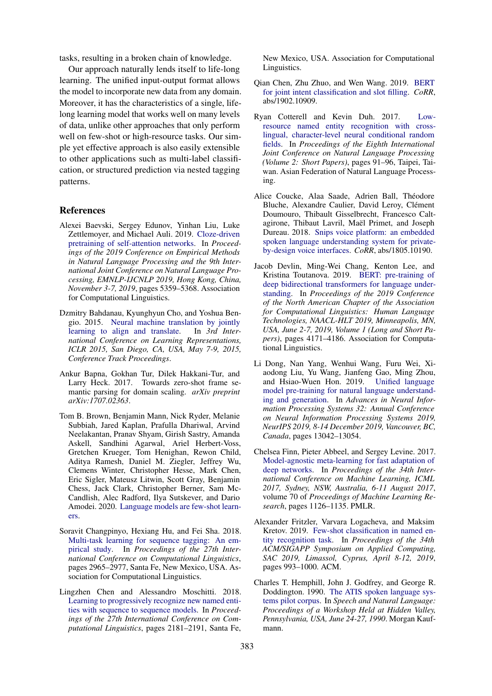tasks, resulting in a broken chain of knowledge.

Our approach naturally lends itself to life-long learning. The unified input-output format allows the model to incorporate new data from any domain. Moreover, it has the characteristics of a single, lifelong learning model that works well on many levels of data, unlike other approaches that only perform well on few-shot or high-resource tasks. Our simple yet effective approach is also easily extensible to other applications such as multi-label classification, or structured prediction via nested tagging patterns.

### References

- Alexei Baevski, Sergey Edunov, Yinhan Liu, Luke Zettlemoyer, and Michael Auli. 2019. Cloze-driven pretraining of self-attention networks. In *Proceedings of the 2019 Conference on Empirical Methods in Natural Language Processing and the 9th International Joint Conference on Natural Language Processing, EMNLP-IJCNLP 2019, Hong Kong, China, November 3-7, 2019*, pages 5359–5368. Association for Computational Linguistics.
- Dzmitry Bahdanau, Kyunghyun Cho, and Yoshua Bengio. 2015. Neural machine translation by jointly learning to align and translate. In *3rd International Conference on Learning Representations, ICLR 2015, San Diego, CA, USA, May 7-9, 2015, Conference Track Proceedings*.
- Ankur Bapna, Gokhan Tur, Dilek Hakkani-Tur, and Larry Heck. 2017. Towards zero-shot frame semantic parsing for domain scaling. *arXiv preprint arXiv:1707.02363*.
- Tom B. Brown, Benjamin Mann, Nick Ryder, Melanie Subbiah, Jared Kaplan, Prafulla Dhariwal, Arvind Neelakantan, Pranav Shyam, Girish Sastry, Amanda Askell, Sandhini Agarwal, Ariel Herbert-Voss, Gretchen Krueger, Tom Henighan, Rewon Child, Aditya Ramesh, Daniel M. Ziegler, Jeffrey Wu, Clemens Winter, Christopher Hesse, Mark Chen, Eric Sigler, Mateusz Litwin, Scott Gray, Benjamin Chess, Jack Clark, Christopher Berner, Sam Mc-Candlish, Alec Radford, Ilya Sutskever, and Dario Amodei. 2020. Language models are few-shot learners.
- Soravit Changpinyo, Hexiang Hu, and Fei Sha. 2018. Multi-task learning for sequence tagging: An empirical study. In *Proceedings of the 27th International Conference on Computational Linguistics*, pages 2965–2977, Santa Fe, New Mexico, USA. Association for Computational Linguistics.
- Lingzhen Chen and Alessandro Moschitti. 2018. Learning to progressively recognize new named entities with sequence to sequence models. In *Proceedings of the 27th International Conference on Computational Linguistics*, pages 2181–2191, Santa Fe,

New Mexico, USA. Association for Computational Linguistics.

- Qian Chen, Zhu Zhuo, and Wen Wang. 2019. BERT for joint intent classification and slot filling. *CoRR*, abs/1902.10909.
- Ryan Cotterell and Kevin Duh. 2017. Lowresource named entity recognition with crosslingual, character-level neural conditional random fields. In *Proceedings of the Eighth International Joint Conference on Natural Language Processing (Volume 2: Short Papers)*, pages 91–96, Taipei, Taiwan. Asian Federation of Natural Language Processing.
- Alice Coucke, Alaa Saade, Adrien Ball, Théodore Bluche, Alexandre Caulier, David Leroy, Clément Doumouro, Thibault Gisselbrecht, Francesco Caltagirone, Thibaut Lavril, Maël Primet, and Joseph Dureau. 2018. Snips voice platform: an embedded spoken language understanding system for privateby-design voice interfaces. *CoRR*, abs/1805.10190.
- Jacob Devlin, Ming-Wei Chang, Kenton Lee, and Kristina Toutanova. 2019. BERT: pre-training of deep bidirectional transformers for language understanding. In *Proceedings of the 2019 Conference of the North American Chapter of the Association for Computational Linguistics: Human Language Technologies, NAACL-HLT 2019, Minneapolis, MN, USA, June 2-7, 2019, Volume 1 (Long and Short Papers)*, pages 4171–4186. Association for Computational Linguistics.
- Li Dong, Nan Yang, Wenhui Wang, Furu Wei, Xiaodong Liu, Yu Wang, Jianfeng Gao, Ming Zhou, and Hsiao-Wuen Hon. 2019. Unified language model pre-training for natural language understanding and generation. In *Advances in Neural Information Processing Systems 32: Annual Conference on Neural Information Processing Systems 2019, NeurIPS 2019, 8-14 December 2019, Vancouver, BC, Canada*, pages 13042–13054.
- Chelsea Finn, Pieter Abbeel, and Sergey Levine. 2017. Model-agnostic meta-learning for fast adaptation of deep networks. In *Proceedings of the 34th International Conference on Machine Learning, ICML 2017, Sydney, NSW, Australia, 6-11 August 2017*, volume 70 of *Proceedings of Machine Learning Research*, pages 1126–1135. PMLR.
- Alexander Fritzler, Varvara Logacheva, and Maksim Kretov. 2019. Few-shot classification in named entity recognition task. In *Proceedings of the 34th ACM/SIGAPP Symposium on Applied Computing, SAC 2019, Limassol, Cyprus, April 8-12, 2019*, pages 993–1000. ACM.
- Charles T. Hemphill, John J. Godfrey, and George R. Doddington. 1990. The ATIS spoken language systems pilot corpus. In *Speech and Natural Language: Proceedings of a Workshop Held at Hidden Valley, Pennsylvania, USA, June 24-27, 1990*. Morgan Kaufmann.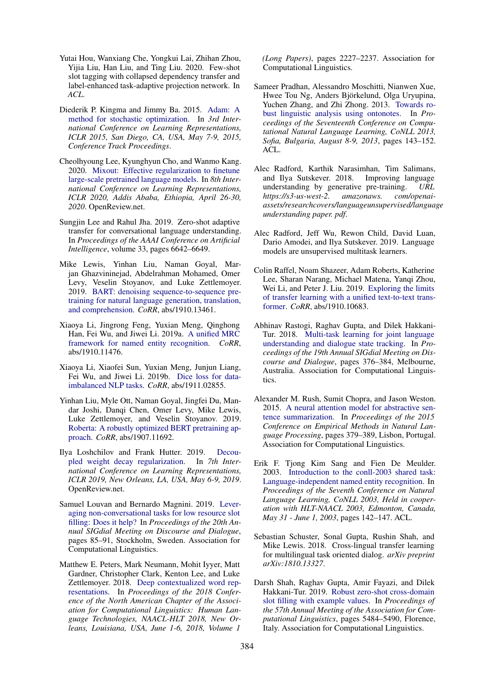- Yutai Hou, Wanxiang Che, Yongkui Lai, Zhihan Zhou, Yijia Liu, Han Liu, and Ting Liu. 2020. Few-shot slot tagging with collapsed dependency transfer and label-enhanced task-adaptive projection network. In *ACL*.
- Diederik P. Kingma and Jimmy Ba. 2015. Adam: A method for stochastic optimization. In *3rd International Conference on Learning Representations, ICLR 2015, San Diego, CA, USA, May 7-9, 2015, Conference Track Proceedings*.
- Cheolhyoung Lee, Kyunghyun Cho, and Wanmo Kang. 2020. Mixout: Effective regularization to finetune large-scale pretrained language models. In *8th International Conference on Learning Representations, ICLR 2020, Addis Ababa, Ethiopia, April 26-30, 2020*. OpenReview.net.
- Sungjin Lee and Rahul Jha. 2019. Zero-shot adaptive transfer for conversational language understanding. In *Proceedings of the AAAI Conference on Artificial Intelligence*, volume 33, pages 6642–6649.
- Mike Lewis, Yinhan Liu, Naman Goyal, Marjan Ghazvininejad, Abdelrahman Mohamed, Omer Levy, Veselin Stoyanov, and Luke Zettlemoyer. 2019. BART: denoising sequence-to-sequence pretraining for natural language generation, translation, and comprehension. *CoRR*, abs/1910.13461.
- Xiaoya Li, Jingrong Feng, Yuxian Meng, Qinghong Han, Fei Wu, and Jiwei Li. 2019a. A unified MRC framework for named entity recognition. *CoRR*, abs/1910.11476.
- Xiaoya Li, Xiaofei Sun, Yuxian Meng, Junjun Liang, Fei Wu, and Jiwei Li. 2019b. Dice loss for dataimbalanced NLP tasks. *CoRR*, abs/1911.02855.
- Yinhan Liu, Myle Ott, Naman Goyal, Jingfei Du, Mandar Joshi, Danqi Chen, Omer Levy, Mike Lewis, Luke Zettlemoyer, and Veselin Stoyanov. 2019. Roberta: A robustly optimized BERT pretraining approach. *CoRR*, abs/1907.11692.
- Ilya Loshchilov and Frank Hutter. 2019. Decoupled weight decay regularization. In *7th International Conference on Learning Representations, ICLR 2019, New Orleans, LA, USA, May 6-9, 2019*. OpenReview.net.
- Samuel Louvan and Bernardo Magnini. 2019. Leveraging non-conversational tasks for low resource slot filling: Does it help? In *Proceedings of the 20th Annual SIGdial Meeting on Discourse and Dialogue*, pages 85–91, Stockholm, Sweden. Association for Computational Linguistics.
- Matthew E. Peters, Mark Neumann, Mohit Iyyer, Matt Gardner, Christopher Clark, Kenton Lee, and Luke Zettlemoyer. 2018. Deep contextualized word representations. In *Proceedings of the 2018 Conference of the North American Chapter of the Association for Computational Linguistics: Human Language Technologies, NAACL-HLT 2018, New Orleans, Louisiana, USA, June 1-6, 2018, Volume 1*

*(Long Papers)*, pages 2227–2237. Association for Computational Linguistics.

- Sameer Pradhan, Alessandro Moschitti, Nianwen Xue, Hwee Tou Ng, Anders Björkelund, Olga Uryupina, Yuchen Zhang, and Zhi Zhong. 2013. Towards robust linguistic analysis using ontonotes. In *Proceedings of the Seventeenth Conference on Computational Natural Language Learning, CoNLL 2013, Sofia, Bulgaria, August 8-9, 2013*, pages 143–152. ACL.
- Alec Radford, Karthik Narasimhan, Tim Salimans, and Ilya Sutskever. 2018. Improving language understanding by generative pre-training. *URL https://s3-us-west-2. amazonaws. com/openaiassets/researchcovers/languageunsupervised/language understanding paper. pdf*.
- Alec Radford, Jeff Wu, Rewon Child, David Luan, Dario Amodei, and Ilya Sutskever. 2019. Language models are unsupervised multitask learners.
- Colin Raffel, Noam Shazeer, Adam Roberts, Katherine Lee, Sharan Narang, Michael Matena, Yanqi Zhou, Wei Li, and Peter J. Liu. 2019. Exploring the limits of transfer learning with a unified text-to-text transformer. *CoRR*, abs/1910.10683.
- Abhinav Rastogi, Raghav Gupta, and Dilek Hakkani-Tur. 2018. Multi-task learning for joint language understanding and dialogue state tracking. In *Proceedings of the 19th Annual SIGdial Meeting on Discourse and Dialogue*, pages 376–384, Melbourne, Australia. Association for Computational Linguistics.
- Alexander M. Rush, Sumit Chopra, and Jason Weston. 2015. A neural attention model for abstractive sentence summarization. In *Proceedings of the 2015 Conference on Empirical Methods in Natural Language Processing*, pages 379–389, Lisbon, Portugal. Association for Computational Linguistics.
- Erik F. Tjong Kim Sang and Fien De Meulder. 2003. Introduction to the conll-2003 shared task: Language-independent named entity recognition. In *Proceedings of the Seventh Conference on Natural Language Learning, CoNLL 2003, Held in cooperation with HLT-NAACL 2003, Edmonton, Canada, May 31 - June 1, 2003*, pages 142–147. ACL.
- Sebastian Schuster, Sonal Gupta, Rushin Shah, and Mike Lewis. 2018. Cross-lingual transfer learning for multilingual task oriented dialog. *arXiv preprint arXiv:1810.13327*.
- Darsh Shah, Raghav Gupta, Amir Fayazi, and Dilek Hakkani-Tur. 2019. Robust zero-shot cross-domain slot filling with example values. In *Proceedings of the 57th Annual Meeting of the Association for Computational Linguistics*, pages 5484–5490, Florence, Italy. Association for Computational Linguistics.